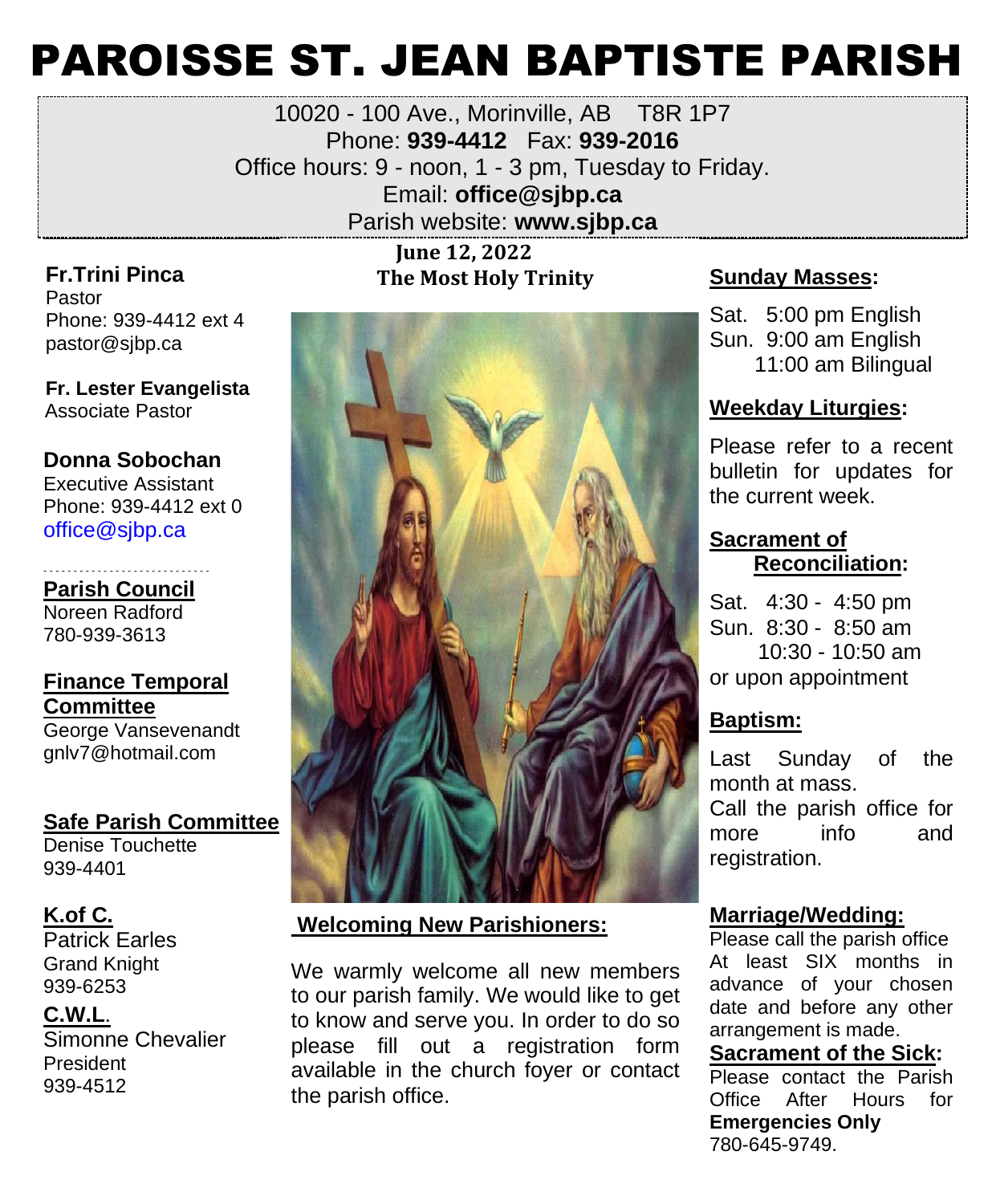# PAROISSE ST. JEAN BAPTISTE PARISH

10020 - 100 Ave., Morinville, AB T8R 1P7 Phone: **939-4412** Fax: **939-2016** Office hours: 9 - noon, 1 - 3 pm, Tuesday to Friday. Email: **office@sjbp.ca** Parish website: **[www.sjbp.ca](http://www.sjbp.ca/)**

**Fr.Trini Pinca** Pastor Phone: 939-4412 ext 4 pastor@sjbp.ca

**Fr. Lester Evangelista** A Associate Pastor

#### **Donna Sobochan**

Executive Assistant Phone: 939-4412 ext 0 office@sjbp.ca

- - - - - - - - - - - - - - - - - - - - - - - - - - - - **Parish Council** Noreen Radford 780-939-3613

#### **Finance Temporal Committee**

George Vansevenandt gnlv7@hotmail.com

**Safe Parish Committee** Denise Touchette

939-4401

#### **K.of C.**

Patrick Earles Grand Knight 939-6253

#### **C.W.L**.

Simonne Chevalier President 939-4512

 **June 12, 2022 The Most Holy Trinity Sunday Masses:**



#### **Welcoming New Parishioners:**

We warmly welcome all new members to our parish family. We would like to get to know and serve you. In order to do so please fill out a registration form available in the church foyer or contact the parish office.

Sat. 5:00 pm English Sun. 9:00 am English 11:00 am Bilingual

#### **Weekday Liturgies:**

Please refer to a recent bulletin for updates for the current week.

#### **Sacrament of Reconciliation:**

Sat. 4:30 - 4:50 pm Sun. 8:30 - 8:50 am 10:30 - 10:50 am or upon appointment

#### **Baptism:**

Last Sunday of the month at mass. Call the parish office for more info and registration.

#### **Marriage/Wedding:**

Please call the parish office At least SIX months in advance of your chosen date and before any other arrangement is made.

#### **Sacrament of the Sick:** Please contact the Parish Office After Hours for **Emergencies Only**

780-645-9749.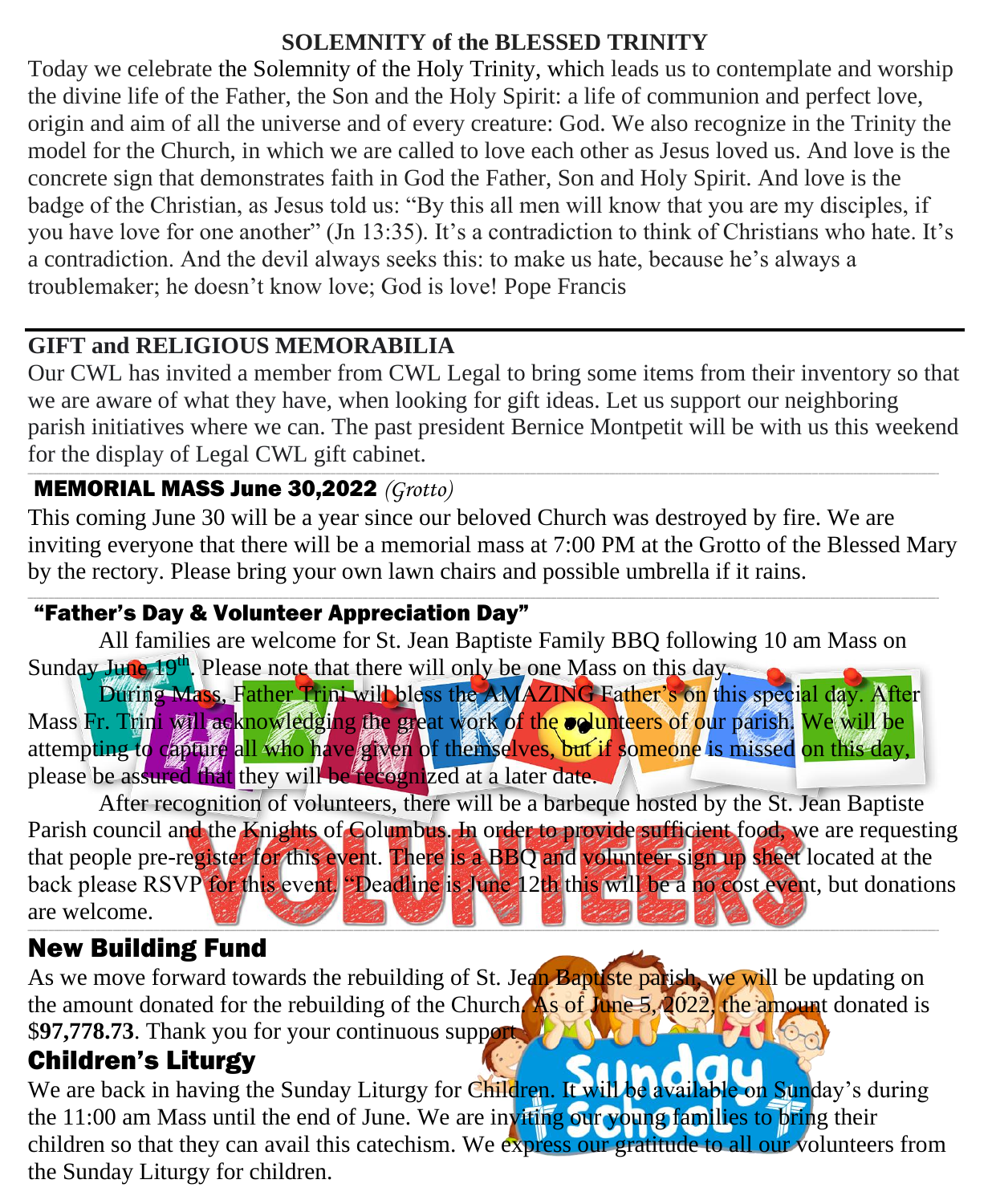#### **SOLEMNITY of the BLESSED TRINITY**

Today we celebrate the [Solemnity of the Holy Trinity,](https://www.google.com/url?q=https%3A%2F%2Fsites.google.com%2Fview%2Fpopefrancishomilies%2Ftrinity&sa=D&sntz=1&usg=AOvVaw1bUEKdDms0TQP_ALC6sDWP) which leads us to contemplate and worship the divine life of the Father, the Son and the Holy Spirit: a life of communion and perfect love, origin and aim of all the universe and of every creature: God. We also recognize in the Trinity the model for the Church, in which we are called to love each other as Jesus loved us. And love is the concrete sign that demonstrates faith in God the Father, Son and Holy Spirit. And love is the badge of the Christian, as Jesus told us: "By this all men will know that you are my disciples, if you have love for one another" (Jn 13:35). It's a contradiction to think of Christians who hate. It's a contradiction. And the devil always seeks this: to make us hate, because he's always a troublemaker; he doesn't know love; God is love! Pope Francis

#### **GIFT and RELIGIOUS MEMORABILIA**

Our CWL has invited a member from CWL Legal to bring some items from their inventory so that we are aware of what they have, when looking for gift ideas. Let us support our neighboring parish initiatives where we can. The past president Bernice Montpetit will be with us this weekend for the display of Legal CWL gift cabinet. \_\_\_\_\_\_\_\_\_\_\_\_\_\_\_\_\_\_\_\_\_\_\_\_\_\_\_\_\_\_\_\_\_\_\_\_\_\_\_\_\_\_\_\_\_\_\_\_\_\_\_\_\_\_\_\_\_\_\_\_\_\_\_\_\_\_\_\_\_\_\_\_\_\_\_\_\_\_\_\_\_\_\_\_\_\_\_\_\_\_\_\_\_\_\_\_\_\_\_\_\_\_\_\_\_\_\_\_\_\_\_\_\_\_\_\_\_\_\_\_\_\_\_\_\_\_\_\_\_\_\_\_\_\_\_\_\_\_\_\_\_\_\_\_\_\_\_\_\_\_\_\_\_\_\_\_\_\_\_\_\_\_\_\_\_\_\_\_\_\_\_\_\_\_\_\_\_\_\_\_\_\_\_\_\_\_\_\_\_\_\_\_\_\_\_\_\_\_\_\_\_\_\_\_\_\_\_\_\_\_\_\_\_\_\_\_\_\_\_\_\_\_\_\_\_\_\_\_\_\_\_\_\_\_\_\_\_\_\_\_\_\_\_\_\_\_\_\_\_\_\_\_\_\_\_\_\_\_\_\_\_\_\_\_\_\_\_\_\_\_\_\_\_\_\_\_\_\_\_\_\_\_\_\_\_\_\_\_\_\_\_\_\_\_\_\_\_\_\_\_\_\_\_\_\_\_\_\_\_\_

#### MEMORIAL MASS June 30,2022 *(Grotto)*

This coming June 30 will be a year since our beloved Church was destroyed by fire. We are inviting everyone that there will be a memorial mass at 7:00 PM at the Grotto of the Blessed Mary by the rectory. Please bring your own lawn chairs and possible umbrella if it rains.

\_\_\_\_\_\_\_\_\_\_\_\_\_\_\_\_\_\_\_\_\_\_\_\_\_\_\_\_\_\_\_\_\_\_\_\_\_\_\_\_\_\_\_\_\_\_\_\_\_\_\_\_\_\_\_\_\_\_\_\_\_\_\_\_\_\_\_\_\_\_\_\_\_\_\_\_\_\_\_\_\_\_\_\_\_\_\_\_\_\_\_\_\_\_\_\_\_\_\_\_\_\_\_\_\_\_\_\_\_\_\_\_\_\_\_\_\_\_\_\_\_\_\_\_\_\_\_\_\_\_\_\_\_\_\_\_\_\_\_\_\_\_\_\_\_\_\_\_\_\_\_\_\_\_\_\_\_\_\_\_\_\_\_\_\_\_\_\_\_\_\_\_\_\_\_\_\_\_\_\_\_\_\_\_\_\_\_\_\_\_\_\_\_\_\_\_\_\_\_\_\_\_\_\_\_\_\_\_\_\_\_\_\_\_\_\_\_\_\_\_\_\_\_\_\_\_\_\_\_\_\_\_\_\_\_\_\_\_\_\_\_\_\_\_\_\_\_\_\_\_\_\_\_\_\_\_\_\_\_\_\_\_\_\_\_\_\_\_\_\_\_\_\_\_\_\_\_\_\_\_\_\_\_\_\_\_\_\_\_\_\_\_\_\_\_\_\_\_\_\_\_\_\_\_\_\_\_\_\_\_

#### "Father's Day & Volunteer Appreciation Day"

All families are welcome for St. Jean Baptiste Family BBQ following 10 am Mass on Sunday June 19<sup>th</sup>. Please note that there will only be one Mass on this day.

During Mass, Father Trini will bless the AMAZING Father's on this special day. After Mass Fr. Trini will acknowledging the great work of the **oglunteers of our parish.** We will be attempting to capture all who have given of themselves, but if someone is missed on this day, please be assured that they will be recognized at a later date.

After recognition of volunteers, there will be a barbeque hosted by the St. Jean Baptiste Parish council and the Knights of Columbus. In order to provide sufficient food, we are requesting that people pre-register for this event. There is a BBQ and volunteer sign up sheet located at the back please RSVP for this event. "Deadline is June 12th this will be a no cost event, but donations are welcome. \_\_\_\_\_\_\_\_\_\_\_\_\_\_\_\_\_\_\_\_\_\_\_

#### New Building Fund

As we move forward towards the rebuilding of St. Jean Baptiste parish, we will be updating on the amount donated for the rebuilding of the Church. As of June 5, 2022, the amount donated is \$97,778.73. Thank you for your continuous support **ANNA** 

### Children's Liturgy

We are back in having the Sunday Liturgy for Children. It will be available on Sunday's during the 11:00 am Mass until the end of June. We are inviting our young families to bring their children so that they can avail this catechism. We express our gratitude to all our volunteers from the Sunday Liturgy for children.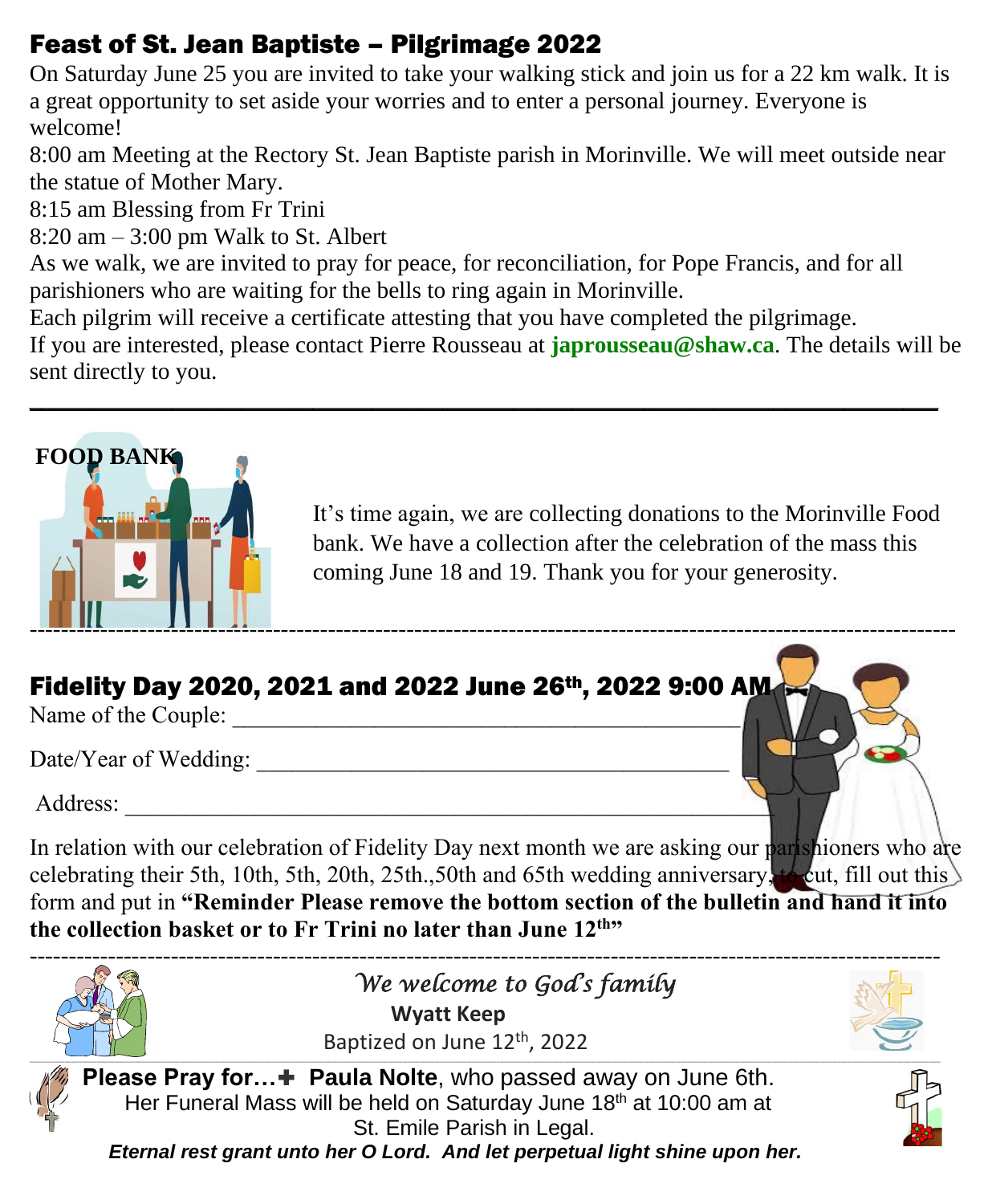## Feast of St. Jean Baptiste – Pilgrimage 2022

On Saturday June 25 you are invited to take your walking stick and join us for a 22 km walk. It is a great opportunity to set aside your worries and to enter a personal journey. Everyone is welcome!

8:00 am Meeting at the Rectory St. Jean Baptiste parish in Morinville. We will meet outside near the statue of Mother Mary.

8:15 am Blessing from Fr Trini

8:20 am – 3:00 pm Walk to St. Albert

As we walk, we are invited to pray for peace, for reconciliation, for Pope Francis, and for all parishioners who are waiting for the bells to ring again in Morinville.

Each pilgrim will receive a certificate attesting that you have completed the pilgrimage.

If you are interested, please contact Pierre Rousseau at **[japrousseau@shaw.ca](mailto:japrousseau@shaw.ca)**. The details will be sent directly to you.

\_\_\_\_\_\_\_\_\_\_\_\_\_\_\_\_\_\_\_\_\_\_\_\_\_\_\_\_\_\_\_\_\_\_\_\_\_\_\_\_\_\_\_\_\_\_\_\_\_\_\_\_\_\_\_\_\_\_\_\_\_\_\_\_\_\_\_\_\_\_\_\_\_\_\_\_\_



It's time again, we are collecting donations to the Morinville Food bank. We have a collection after the celebration of the mass this coming June 18 and 19. Thank you for your generosity.

# Fidelity Day 2020, 2021 and 2022 June 26th, 2022 9:00 AM

Name of the Couple: \_\_\_\_\_\_\_\_\_\_\_\_\_\_\_\_\_\_\_\_\_\_\_\_\_\_\_\_\_\_\_\_\_\_\_\_\_\_\_\_\_\_\_

Date/Year of Wedding:

Address: \_\_\_\_\_\_\_\_\_\_\_\_\_\_\_\_\_\_\_\_\_\_\_\_\_\_\_\_\_\_\_\_\_\_\_\_\_\_\_\_\_\_\_\_\_\_\_\_\_\_\_\_\_\_\_

In relation with our celebration of Fidelity Day next month we are asking our parishioners who are celebrating their 5th, 10th, 5th, 20th, 25th., 50th and 65th wedding anniversary, to cut, fill out this form and put in **"Reminder Please remove the bottom section of the bulletin and hand it into the collection basket or to Fr Trini no later than June 12th"**